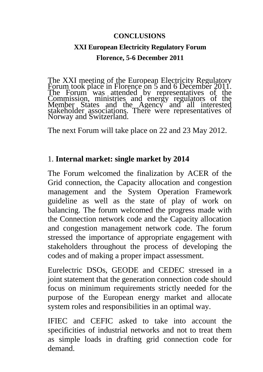#### **CONCLUSIONS**

### **XXI European Electricity Regulatory Forum Florence, 5-6 December 2011**

The XXI meeting of the European Electricity Regulatory Forum took place in Florence on 5 and 6 December 2011. The Forum was attended by representatives of the Commission, ministries and energy regulators of the Member States and the Agency and all interested stakeholder associations. There were representatives of Norway and Switzerland.

The next Forum will take place on 22 and 23 May 2012.

#### 1. **Internal market: single market by 2014**

The Forum welcomed the finalization by ACER of the Grid connection, the Capacity allocation and congestion management and the System Operation Framework guideline as well as the state of play of work on balancing. The forum welcomed the progress made with the Connection network code and the Capacity allocation and congestion management network code. The forum stressed the importance of appropriate engagement with stakeholders throughout the process of developing the codes and of making a proper impact assessment.

Eurelectric DSOs, GEODE and CEDEC stressed in a joint statement that the generation connection code should focus on minimum requirements strictly needed for the purpose of the European energy market and allocate system roles and responsibilities in an optimal way.

IFIEC and CEFIC asked to take into account the specificities of industrial networks and not to treat them as simple loads in drafting grid connection code for demand.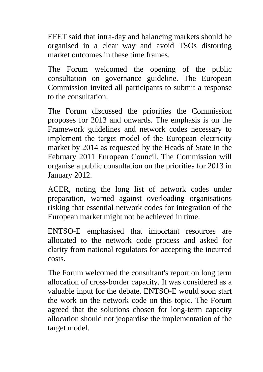EFET said that intra-day and balancing markets should be organised in a clear way and avoid TSOs distorting market outcomes in these time frames.

The Forum welcomed the opening of the public consultation on governance guideline. The European Commission invited all participants to submit a response to the consultation.

The Forum discussed the priorities the Commission proposes for 2013 and onwards. The emphasis is on the Framework guidelines and network codes necessary to implement the target model of the European electricity market by 2014 as requested by the Heads of State in the February 2011 European Council. The Commission will organise a public consultation on the priorities for 2013 in January 2012.

ACER, noting the long list of network codes under preparation, warned against overloading organisations risking that essential network codes for integration of the European market might not be achieved in time.

ENTSO-E emphasised that important resources are allocated to the network code process and asked for clarity from national regulators for accepting the incurred costs.

The Forum welcomed the consultant's report on long term allocation of cross-border capacity. It was considered as a valuable input for the debate. ENTSO-E would soon start the work on the network code on this topic. The Forum agreed that the solutions chosen for long-term capacity allocation should not jeopardise the implementation of the target model.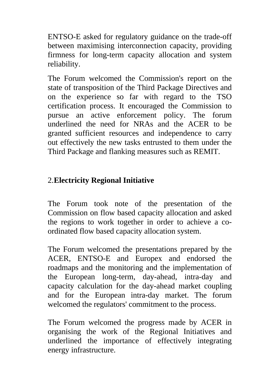ENTSO-E asked for regulatory guidance on the trade-off between maximising interconnection capacity, providing firmness for long-term capacity allocation and system reliability.

The Forum welcomed the Commission's report on the state of transposition of the Third Package Directives and on the experience so far with regard to the TSO certification process. It encouraged the Commission to pursue an active enforcement policy. The forum underlined the need for NRAs and the ACER to be granted sufficient resources and independence to carry out effectively the new tasks entrusted to them under the Third Package and flanking measures such as REMIT.

# 2. **Electricity Regional Initiative**

The Forum took note of the presentation of the Commission on flow based capacity allocation and asked the regions to work together in order to achieve a coordinated flow based capacity allocation system.

The Forum welcomed the presentations prepared by the ACER, ENTSO-E and Europex and endorsed the roadmaps and the monitoring and the implementation of the European long-term, day-ahead, intra-day and capacity calculation for the day-ahead market coupling and for the European intra-day market. The forum welcomed the regulators' commitment to the process.

The Forum welcomed the progress made by ACER in organising the work of the Regional Initiatives and underlined the importance of effectively integrating energy infrastructure.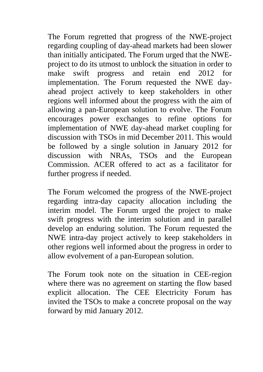The Forum regretted that progress of the NWE-project regarding coupling of day-ahead markets had been slower than initially anticipated. The Forum urged that the NWEproject to do its utmost to unblock the situation in order to make swift progress and retain end 2012 for implementation. The Forum requested the NWE dayahead project actively to keep stakeholders in other regions well informed about the progress with the aim of allowing a pan-European solution to evolve. The Forum encourages power exchanges to refine options for implementation of NWE day-ahead market coupling for discussion with TSOs in mid December 2011. This would be followed by a single solution in January 2012 for discussion with NRAs, TSOs and the European Commission. ACER offered to act as a facilitator for further progress if needed.

The Forum welcomed the progress of the NWE-project regarding intra-day capacity allocation including the interim model. The Forum urged the project to make swift progress with the interim solution and in parallel develop an enduring solution. The Forum requested the NWE intra-day project actively to keep stakeholders in other regions well informed about the progress in order to allow evolvement of a pan-European solution.

The Forum took note on the situation in CEE-region where there was no agreement on starting the flow based explicit allocation. The CEE Electricity Forum has invited the TSOs to make a concrete proposal on the way forward by mid January 2012.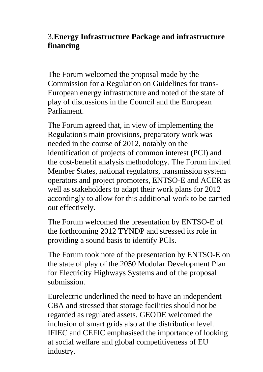# 3. **Energy Infrastructure Package and infrastructure financing**

The Forum welcomed the proposal made by the Commission for a Regulation on Guidelines for trans-European energy infrastructure and noted of the state of play of discussions in the Council and the European Parliament.

The Forum agreed that, in view of implementing the Regulation's main provisions, preparatory work was needed in the course of 2012, notably on the identification of projects of common interest (PCI) and the cost-benefit analysis methodology. The Forum invited Member States, national regulators, transmission system operators and project promoters, ENTSO-E and ACER as well as stakeholders to adapt their work plans for 2012 accordingly to allow for this additional work to be carried out effectively.

The Forum welcomed the presentation by ENTSO-E of the forthcoming 2012 TYNDP and stressed its role in providing a sound basis to identify PCIs.

The Forum took note of the presentation by ENTSO-E on the state of play of the 2050 Modular Development Plan for Electricity Highways Systems and of the proposal submission.

Eurelectric underlined the need to have an independent CBA and stressed that storage facilities should not be regarded as regulated assets. GEODE welcomed the inclusion of smart grids also at the distribution level. IFIEC and CEFIC emphasised the importance of looking at social welfare and global competitiveness of EU industry.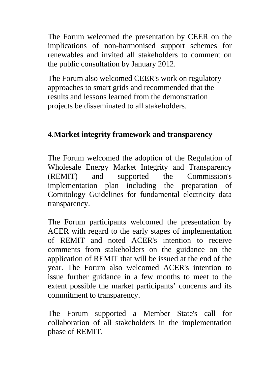The Forum welcomed the presentation by CEER on the implications of non-harmonised support schemes for renewables and invited all stakeholders to comment on the public consultation by January 2012.

The Forum also welcomed CEER's work on regulatory approaches to smart grids and recommended that the results and lessons learned from the demonstration projects be disseminated to all stakeholders.

### 4. **Market integrity framework and transparency**

The Forum welcomed the adoption of the Regulation of Wholesale Energy Market Integrity and Transparency (REMIT) and supported the Commission's implementation plan including the preparation of Comitology Guidelines for fundamental electricity data transparency.

The Forum participants welcomed the presentation by ACER with regard to the early stages of implementation of REMIT and noted ACER's intention to receive comments from stakeholders on the guidance on the application of REMIT that will be issued at the end of the year. The Forum also welcomed ACER's intention to issue further guidance in a few months to meet to the extent possible the market participants' concerns and its commitment to transparency.

The Forum supported a Member State's call for collaboration of all stakeholders in the implementation phase of REMIT.